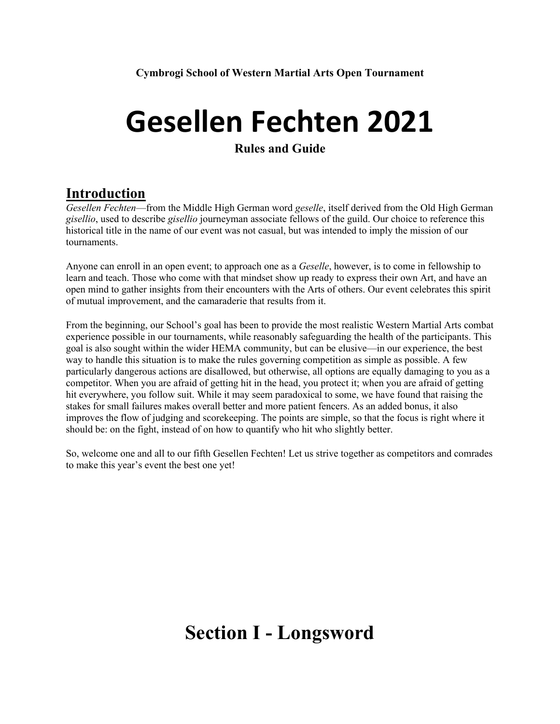# **Gesellen Fechten 2021**

#### **Rules and Guide**

### **Introduction**

*Gesellen Fechten*—from the Middle High German word *geselle*, itself derived from the Old High German *gisellio*, used to describe *gisellio* journeyman associate fellows of the guild. Our choice to reference this historical title in the name of our event was not casual, but was intended to imply the mission of our tournaments.

Anyone can enroll in an open event; to approach one as a *Geselle*, however, is to come in fellowship to learn and teach. Those who come with that mindset show up ready to express their own Art, and have an open mind to gather insights from their encounters with the Arts of others. Our event celebrates this spirit of mutual improvement, and the camaraderie that results from it.

From the beginning, our School's goal has been to provide the most realistic Western Martial Arts combat experience possible in our tournaments, while reasonably safeguarding the health of the participants. This goal is also sought within the wider HEMA community, but can be elusive—in our experience, the best way to handle this situation is to make the rules governing competition as simple as possible. A few particularly dangerous actions are disallowed, but otherwise, all options are equally damaging to you as a competitor. When you are afraid of getting hit in the head, you protect it; when you are afraid of getting hit everywhere, you follow suit. While it may seem paradoxical to some, we have found that raising the stakes for small failures makes overall better and more patient fencers. As an added bonus, it also improves the flow of judging and scorekeeping. The points are simple, so that the focus is right where it should be: on the fight, instead of on how to quantify who hit who slightly better.

So, welcome one and all to our fifth Gesellen Fechten! Let us strive together as competitors and comrades to make this year's event the best one yet!

## **Section I - Longsword**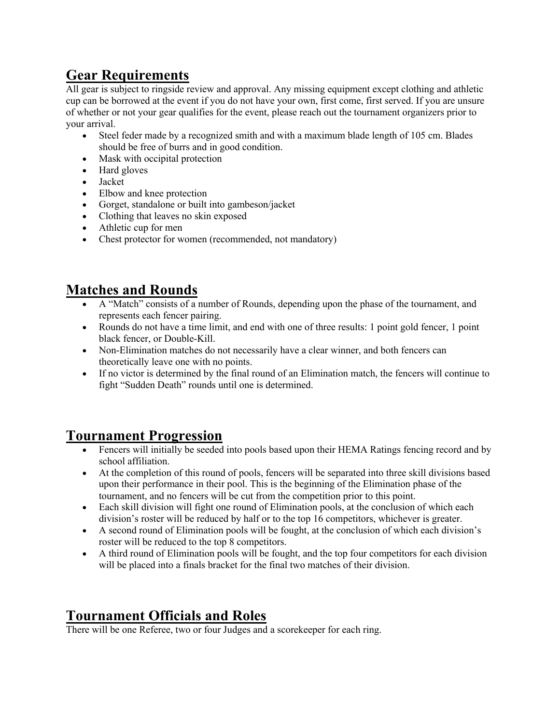## **Gear Requirements**

All gear is subject to ringside review and approval. Any missing equipment except clothing and athletic cup can be borrowed at the event if you do not have your own, first come, first served. If you are unsure of whether or not your gear qualifies for the event, please reach out the tournament organizers prior to your arrival.

- Steel feder made by a recognized smith and with a maximum blade length of 105 cm. Blades should be free of burrs and in good condition.
- Mask with occipital protection
- Hard gloves
- Jacket
- Elbow and knee protection
- Gorget, standalone or built into gambeson/jacket
- Clothing that leaves no skin exposed
- Athletic cup for men
- Chest protector for women (recommended, not mandatory)

## **Matches and Rounds**

- A "Match" consists of a number of Rounds, depending upon the phase of the tournament, and represents each fencer pairing.
- Rounds do not have a time limit, and end with one of three results: 1 point gold fencer, 1 point black fencer, or Double-Kill.
- Non-Elimination matches do not necessarily have a clear winner, and both fencers can theoretically leave one with no points.
- If no victor is determined by the final round of an Elimination match, the fencers will continue to fight "Sudden Death" rounds until one is determined.

#### **Tournament Progression**

- Fencers will initially be seeded into pools based upon their HEMA Ratings fencing record and by school affiliation.
- At the completion of this round of pools, fencers will be separated into three skill divisions based upon their performance in their pool. This is the beginning of the Elimination phase of the tournament, and no fencers will be cut from the competition prior to this point.
- Each skill division will fight one round of Elimination pools, at the conclusion of which each division's roster will be reduced by half or to the top 16 competitors, whichever is greater.
- A second round of Elimination pools will be fought, at the conclusion of which each division's roster will be reduced to the top 8 competitors.
- A third round of Elimination pools will be fought, and the top four competitors for each division will be placed into a finals bracket for the final two matches of their division.

## **Tournament Officials and Roles**

There will be one Referee, two or four Judges and a scorekeeper for each ring.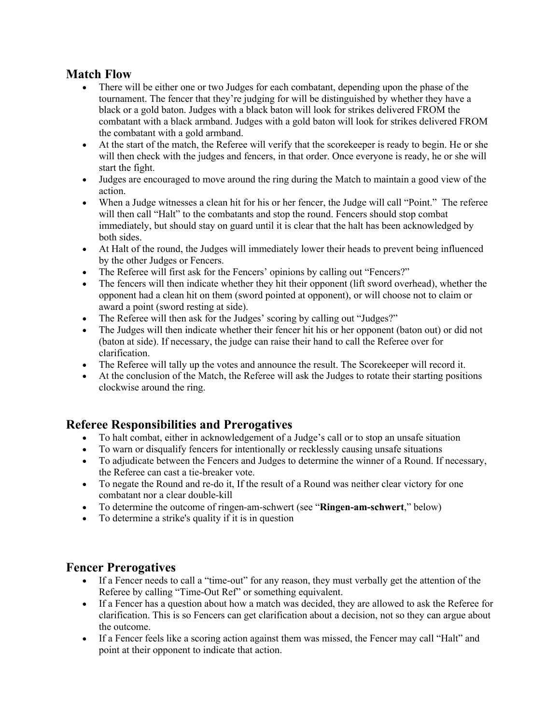#### **Match Flow**

- There will be either one or two Judges for each combatant, depending upon the phase of the tournament. The fencer that they're judging for will be distinguished by whether they have a black or a gold baton. Judges with a black baton will look for strikes delivered FROM the combatant with a black armband. Judges with a gold baton will look for strikes delivered FROM the combatant with a gold armband.
- At the start of the match, the Referee will verify that the score keeper is ready to begin. He or she will then check with the judges and fencers, in that order. Once everyone is ready, he or she will start the fight.
- Judges are encouraged to move around the ring during the Match to maintain a good view of the action.
- When a Judge witnesses a clean hit for his or her fencer, the Judge will call "Point." The referee will then call "Halt" to the combatants and stop the round. Fencers should stop combat immediately, but should stay on guard until it is clear that the halt has been acknowledged by both sides.
- At Halt of the round, the Judges will immediately lower their heads to prevent being influenced by the other Judges or Fencers.
- The Referee will first ask for the Fencers' opinions by calling out "Fencers?"
- The fencers will then indicate whether they hit their opponent (lift sword overhead), whether the opponent had a clean hit on them (sword pointed at opponent), or will choose not to claim or award a point (sword resting at side).
- The Referee will then ask for the Judges' scoring by calling out "Judges?"
- The Judges will then indicate whether their fencer hit his or her opponent (baton out) or did not (baton at side). If necessary, the judge can raise their hand to call the Referee over for clarification.
- The Referee will tally up the votes and announce the result. The Scorekeeper will record it.
- At the conclusion of the Match, the Referee will ask the Judges to rotate their starting positions clockwise around the ring.

#### **Referee Responsibilities and Prerogatives**

- To halt combat, either in acknowledgement of a Judge's call or to stop an unsafe situation
- To warn or disqualify fencers for intentionally or recklessly causing unsafe situations
- To adjudicate between the Fencers and Judges to determine the winner of a Round. If necessary, the Referee can cast a tie-breaker vote.
- To negate the Round and re-do it, If the result of a Round was neither clear victory for one combatant nor a clear double-kill
- To determine the outcome of ringen-am-schwert (see "**Ringen-am-schwert**," below)
- To determine a strike's quality if it is in question

#### **Fencer Prerogatives**

- If a Fencer needs to call a "time-out" for any reason, they must verbally get the attention of the Referee by calling "Time-Out Ref" or something equivalent.
- If a Fencer has a question about how a match was decided, they are allowed to ask the Referee for clarification. This is so Fencers can get clarification about a decision, not so they can argue about the outcome.
- If a Fencer feels like a scoring action against them was missed, the Fencer may call "Halt" and point at their opponent to indicate that action.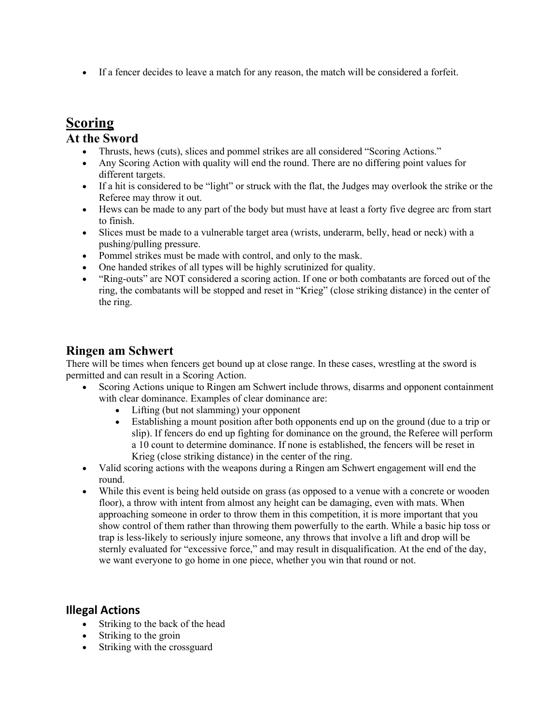• If a fencer decides to leave a match for any reason, the match will be considered a forfeit.

## **Scoring**

#### **At the Sword**

- Thrusts, hews (cuts), slices and pommel strikes are all considered "Scoring Actions."
- Any Scoring Action with quality will end the round. There are no differing point values for different targets.
- If a hit is considered to be "light" or struck with the flat, the Judges may overlook the strike or the Referee may throw it out.
- Hews can be made to any part of the body but must have at least a forty five degree arc from start to finish.
- Slices must be made to a vulnerable target area (wrists, underarm, belly, head or neck) with a pushing/pulling pressure.
- Pommel strikes must be made with control, and only to the mask.
- One handed strikes of all types will be highly scrutinized for quality.
- "Ring-outs" are NOT considered a scoring action. If one or both combatants are forced out of the ring, the combatants will be stopped and reset in "Krieg" (close striking distance) in the center of the ring.

#### **Ringen am Schwert**

There will be times when fencers get bound up at close range. In these cases, wrestling at the sword is permitted and can result in a Scoring Action.

- Scoring Actions unique to Ringen am Schwert include throws, disarms and opponent containment with clear dominance. Examples of clear dominance are:
	- Lifting (but not slamming) your opponent
	- Establishing a mount position after both opponents end up on the ground (due to a trip or slip). If fencers do end up fighting for dominance on the ground, the Referee will perform a 10 count to determine dominance. If none is established, the fencers will be reset in Krieg (close striking distance) in the center of the ring.
- Valid scoring actions with the weapons during a Ringen am Schwert engagement will end the round.
- While this event is being held outside on grass (as opposed to a venue with a concrete or wooden floor), a throw with intent from almost any height can be damaging, even with mats. When approaching someone in order to throw them in this competition, it is more important that you show control of them rather than throwing them powerfully to the earth. While a basic hip toss or trap is less-likely to seriously injure someone, any throws that involve a lift and drop will be sternly evaluated for "excessive force," and may result in disqualification. At the end of the day, we want everyone to go home in one piece, whether you win that round or not.

#### **Illegal Actions**

- Striking to the back of the head
- Striking to the groin
- Striking with the crossguard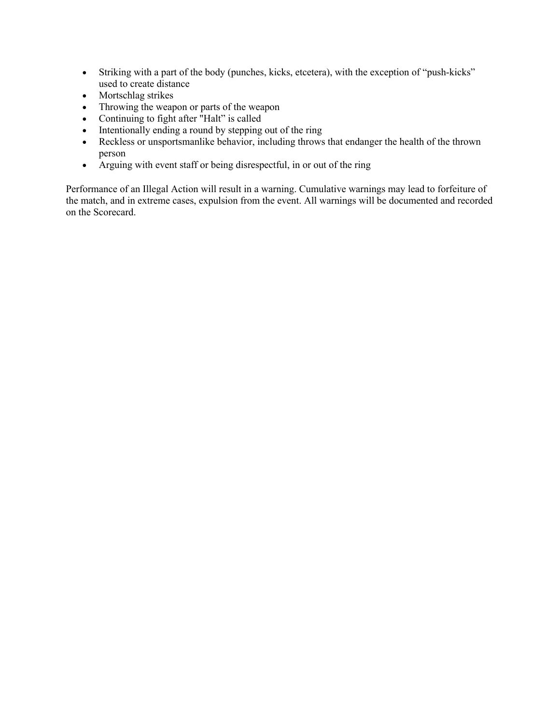- Striking with a part of the body (punches, kicks, etcetera), with the exception of "push-kicks" used to create distance
- Mortschlag strikes
- Throwing the weapon or parts of the weapon
- Continuing to fight after "Halt" is called
- Intentionally ending a round by stepping out of the ring
- Reckless or unsportsmanlike behavior, including throws that endanger the health of the thrown person
- Arguing with event staff or being disrespectful, in or out of the ring

Performance of an Illegal Action will result in a warning. Cumulative warnings may lead to forfeiture of the match, and in extreme cases, expulsion from the event. All warnings will be documented and recorded on the Scorecard.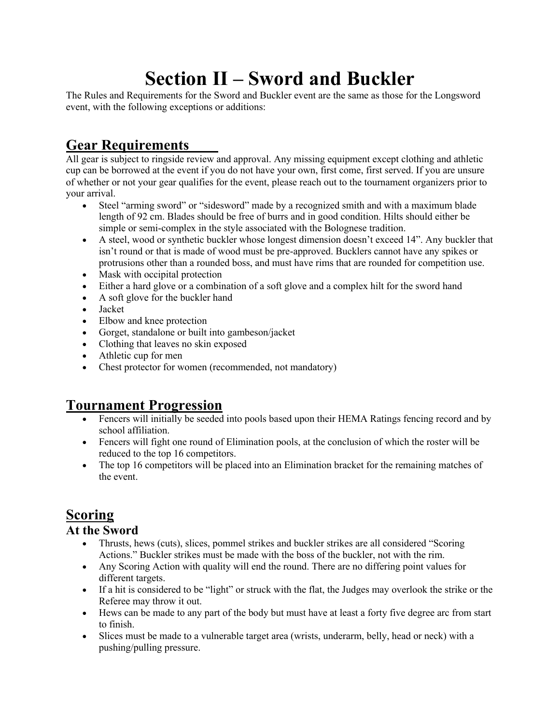## **Section II – Sword and Buckler**

The Rules and Requirements for the Sword and Buckler event are the same as those for the Longsword event, with the following exceptions or additions:

## **Gear Requirements**

All gear is subject to ringside review and approval. Any missing equipment except clothing and athletic cup can be borrowed at the event if you do not have your own, first come, first served. If you are unsure of whether or not your gear qualifies for the event, please reach out to the tournament organizers prior to your arrival.

- Steel "arming sword" or "sidesword" made by a recognized smith and with a maximum blade length of 92 cm. Blades should be free of burrs and in good condition. Hilts should either be simple or semi-complex in the style associated with the Bolognese tradition.
- A steel, wood or synthetic buckler whose longest dimension doesn't exceed 14". Any buckler that isn't round or that is made of wood must be pre-approved. Bucklers cannot have any spikes or protrusions other than a rounded boss, and must have rims that are rounded for competition use.
- Mask with occipital protection
- Either a hard glove or a combination of a soft glove and a complex hilt for the sword hand
- A soft glove for the buckler hand
- Jacket
- Elbow and knee protection
- Gorget, standalone or built into gambeson/jacket
- Clothing that leaves no skin exposed
- Athletic cup for men
- Chest protector for women (recommended, not mandatory)

## **Tournament Progression**

- Fencers will initially be seeded into pools based upon their HEMA Ratings fencing record and by school affiliation.
- Fencers will fight one round of Elimination pools, at the conclusion of which the roster will be reduced to the top 16 competitors.
- The top 16 competitors will be placed into an Elimination bracket for the remaining matches of the event.

## **Scoring**

#### **At the Sword**

- Thrusts, hews (cuts), slices, pommel strikes and buckler strikes are all considered "Scoring Actions." Buckler strikes must be made with the boss of the buckler, not with the rim.
- Any Scoring Action with quality will end the round. There are no differing point values for different targets.
- If a hit is considered to be "light" or struck with the flat, the Judges may overlook the strike or the Referee may throw it out.
- Hews can be made to any part of the body but must have at least a forty five degree arc from start to finish.
- Slices must be made to a vulnerable target area (wrists, underarm, belly, head or neck) with a pushing/pulling pressure.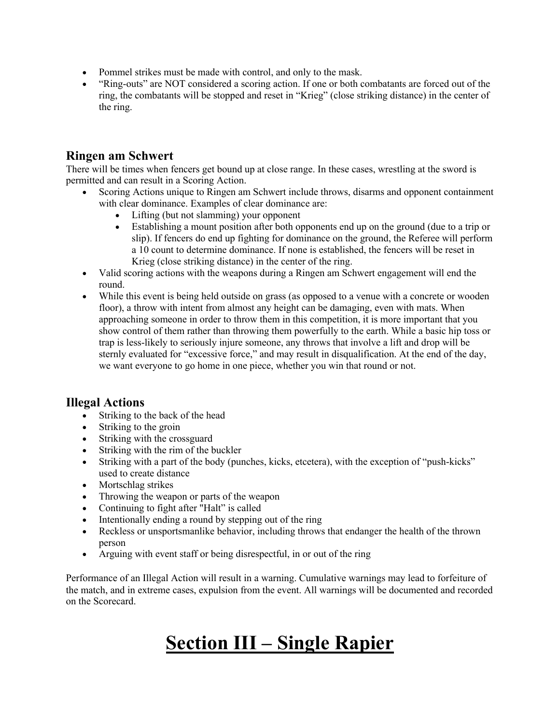- Pommel strikes must be made with control, and only to the mask.
- "Ring-outs" are NOT considered a scoring action. If one or both combatants are forced out of the ring, the combatants will be stopped and reset in "Krieg" (close striking distance) in the center of the ring.

#### **Ringen am Schwert**

There will be times when fencers get bound up at close range. In these cases, wrestling at the sword is permitted and can result in a Scoring Action.

- Scoring Actions unique to Ringen am Schwert include throws, disarms and opponent containment with clear dominance. Examples of clear dominance are:
	- Lifting (but not slamming) your opponent
	- Establishing a mount position after both opponents end up on the ground (due to a trip or slip). If fencers do end up fighting for dominance on the ground, the Referee will perform a 10 count to determine dominance. If none is established, the fencers will be reset in Krieg (close striking distance) in the center of the ring.
- Valid scoring actions with the weapons during a Ringen am Schwert engagement will end the round.
- While this event is being held outside on grass (as opposed to a venue with a concrete or wooden floor), a throw with intent from almost any height can be damaging, even with mats. When approaching someone in order to throw them in this competition, it is more important that you show control of them rather than throwing them powerfully to the earth. While a basic hip toss or trap is less-likely to seriously injure someone, any throws that involve a lift and drop will be sternly evaluated for "excessive force," and may result in disqualification. At the end of the day, we want everyone to go home in one piece, whether you win that round or not.

#### **Illegal Actions**

- Striking to the back of the head
- Striking to the groin
- Striking with the crossguard
- Striking with the rim of the buckler
- Striking with a part of the body (punches, kicks, etcetera), with the exception of "push-kicks" used to create distance
- Mortschlag strikes
- Throwing the weapon or parts of the weapon
- Continuing to fight after "Halt" is called
- Intentionally ending a round by stepping out of the ring
- Reckless or unsportsmanlike behavior, including throws that endanger the health of the thrown person
- Arguing with event staff or being disrespectful, in or out of the ring

Performance of an Illegal Action will result in a warning. Cumulative warnings may lead to forfeiture of the match, and in extreme cases, expulsion from the event. All warnings will be documented and recorded on the Scorecard.

## **Section III – Single Rapier**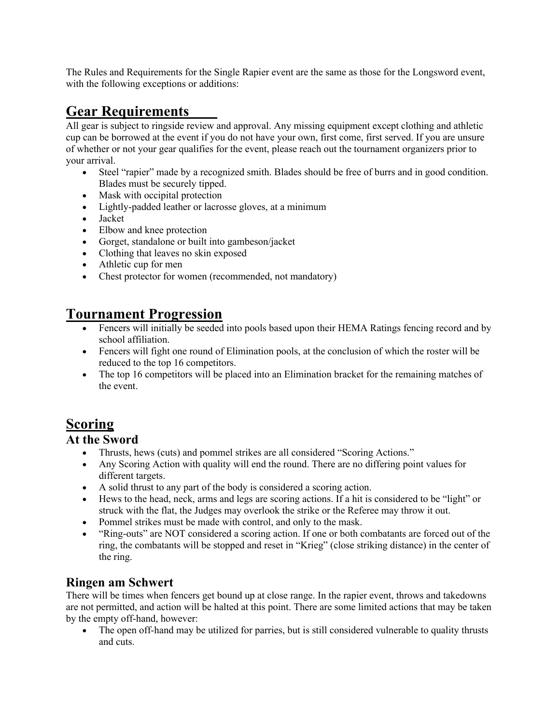The Rules and Requirements for the Single Rapier event are the same as those for the Longsword event, with the following exceptions or additions:

## **Gear Requirements**

All gear is subject to ringside review and approval. Any missing equipment except clothing and athletic cup can be borrowed at the event if you do not have your own, first come, first served. If you are unsure of whether or not your gear qualifies for the event, please reach out the tournament organizers prior to your arrival.

- Steel "rapier" made by a recognized smith. Blades should be free of burrs and in good condition. Blades must be securely tipped.
- Mask with occipital protection
- Lightly-padded leather or lacrosse gloves, at a minimum
- Jacket
- Elbow and knee protection
- Gorget, standalone or built into gambeson/jacket
- Clothing that leaves no skin exposed
- Athletic cup for men
- Chest protector for women (recommended, not mandatory)

## **Tournament Progression**

- Fencers will initially be seeded into pools based upon their HEMA Ratings fencing record and by school affiliation.
- Fencers will fight one round of Elimination pools, at the conclusion of which the roster will be reduced to the top 16 competitors.
- The top 16 competitors will be placed into an Elimination bracket for the remaining matches of the event.

## **Scoring**

#### **At the Sword**

- Thrusts, hews (cuts) and pommel strikes are all considered "Scoring Actions."
- Any Scoring Action with quality will end the round. There are no differing point values for different targets.
- A solid thrust to any part of the body is considered a scoring action.
- Hews to the head, neck, arms and legs are scoring actions. If a hit is considered to be "light" or struck with the flat, the Judges may overlook the strike or the Referee may throw it out.
- Pommel strikes must be made with control, and only to the mask.
- "Ring-outs" are NOT considered a scoring action. If one or both combatants are forced out of the ring, the combatants will be stopped and reset in "Krieg" (close striking distance) in the center of the ring.

#### **Ringen am Schwert**

There will be times when fencers get bound up at close range. In the rapier event, throws and takedowns are not permitted, and action will be halted at this point. There are some limited actions that may be taken by the empty off-hand, however:

• The open off-hand may be utilized for parries, but is still considered vulnerable to quality thrusts and cuts.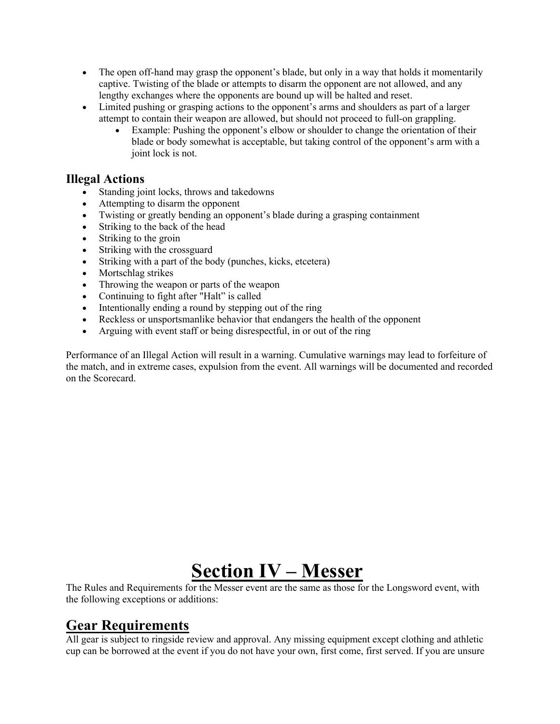- The open off-hand may grasp the opponent's blade, but only in a way that holds it momentarily captive. Twisting of the blade or attempts to disarm the opponent are not allowed, and any lengthy exchanges where the opponents are bound up will be halted and reset.
- Limited pushing or grasping actions to the opponent's arms and shoulders as part of a larger attempt to contain their weapon are allowed, but should not proceed to full-on grappling.
	- Example: Pushing the opponent's elbow or shoulder to change the orientation of their blade or body somewhat is acceptable, but taking control of the opponent's arm with a joint lock is not.

#### **Illegal Actions**

- Standing joint locks, throws and takedowns
- Attempting to disarm the opponent
- Twisting or greatly bending an opponent's blade during a grasping containment
- Striking to the back of the head
- Striking to the groin
- Striking with the crossguard
- Striking with a part of the body (punches, kicks, etcetera)
- Mortschlag strikes
- Throwing the weapon or parts of the weapon
- Continuing to fight after "Halt" is called
- Intentionally ending a round by stepping out of the ring
- Reckless or unsportsmanlike behavior that endangers the health of the opponent
- Arguing with event staff or being disrespectful, in or out of the ring

Performance of an Illegal Action will result in a warning. Cumulative warnings may lead to forfeiture of the match, and in extreme cases, expulsion from the event. All warnings will be documented and recorded on the Scorecard.

## **Section IV – Messer**

The Rules and Requirements for the Messer event are the same as those for the Longsword event, with the following exceptions or additions:

## **Gear Requirements**

All gear is subject to ringside review and approval. Any missing equipment except clothing and athletic cup can be borrowed at the event if you do not have your own, first come, first served. If you are unsure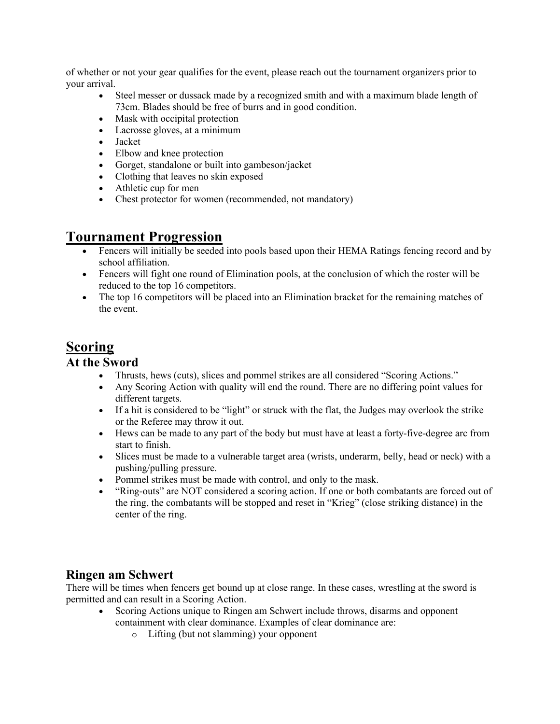of whether or not your gear qualifies for the event, please reach out the tournament organizers prior to your arrival.

- Steel messer or dussack made by a recognized smith and with a maximum blade length of 73cm. Blades should be free of burrs and in good condition.
- Mask with occipital protection
- Lacrosse gloves, at a minimum
- Jacket
- Elbow and knee protection
- Gorget, standalone or built into gambeson/jacket
- Clothing that leaves no skin exposed
- Athletic cup for men
- Chest protector for women (recommended, not mandatory)

## **Tournament Progression**

- Fencers will initially be seeded into pools based upon their HEMA Ratings fencing record and by school affiliation.
- Fencers will fight one round of Elimination pools, at the conclusion of which the roster will be reduced to the top 16 competitors.
- The top 16 competitors will be placed into an Elimination bracket for the remaining matches of the event.

## **Scoring**

#### **At the Sword**

- Thrusts, hews (cuts), slices and pommel strikes are all considered "Scoring Actions."
- Any Scoring Action with quality will end the round. There are no differing point values for different targets.
- If a hit is considered to be "light" or struck with the flat, the Judges may overlook the strike or the Referee may throw it out.
- Hews can be made to any part of the body but must have at least a forty-five-degree arc from start to finish.
- Slices must be made to a vulnerable target area (wrists, underarm, belly, head or neck) with a pushing/pulling pressure.
- Pommel strikes must be made with control, and only to the mask.
- "Ring-outs" are NOT considered a scoring action. If one or both combatants are forced out of the ring, the combatants will be stopped and reset in "Krieg" (close striking distance) in the center of the ring.

#### **Ringen am Schwert**

There will be times when fencers get bound up at close range. In these cases, wrestling at the sword is permitted and can result in a Scoring Action.

- Scoring Actions unique to Ringen am Schwert include throws, disarms and opponent containment with clear dominance. Examples of clear dominance are:
	- o Lifting (but not slamming) your opponent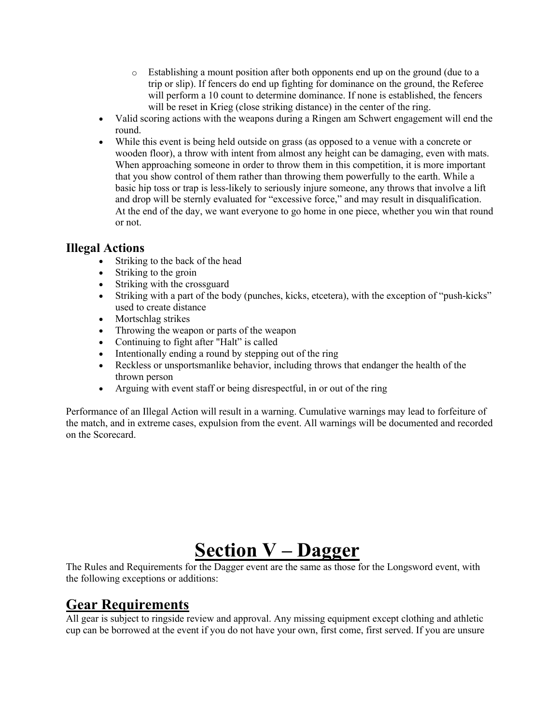- o Establishing a mount position after both opponents end up on the ground (due to a trip or slip). If fencers do end up fighting for dominance on the ground, the Referee will perform a 10 count to determine dominance. If none is established, the fencers will be reset in Krieg (close striking distance) in the center of the ring.
- Valid scoring actions with the weapons during a Ringen am Schwert engagement will end the round.
- While this event is being held outside on grass (as opposed to a venue with a concrete or wooden floor), a throw with intent from almost any height can be damaging, even with mats. When approaching someone in order to throw them in this competition, it is more important that you show control of them rather than throwing them powerfully to the earth. While a basic hip toss or trap is less-likely to seriously injure someone, any throws that involve a lift and drop will be sternly evaluated for "excessive force," and may result in disqualification. At the end of the day, we want everyone to go home in one piece, whether you win that round or not.

#### **Illegal Actions**

- Striking to the back of the head
- Striking to the groin
- Striking with the crossguard
- Striking with a part of the body (punches, kicks, etcetera), with the exception of "push-kicks" used to create distance
- Mortschlag strikes
- Throwing the weapon or parts of the weapon
- Continuing to fight after "Halt" is called
- Intentionally ending a round by stepping out of the ring
- Reckless or unsportsmanlike behavior, including throws that endanger the health of the thrown person
- Arguing with event staff or being disrespectful, in or out of the ring

Performance of an Illegal Action will result in a warning. Cumulative warnings may lead to forfeiture of the match, and in extreme cases, expulsion from the event. All warnings will be documented and recorded on the Scorecard.

## **Section V – Dagger**

The Rules and Requirements for the Dagger event are the same as those for the Longsword event, with the following exceptions or additions:

## **Gear Requirements**

All gear is subject to ringside review and approval. Any missing equipment except clothing and athletic cup can be borrowed at the event if you do not have your own, first come, first served. If you are unsure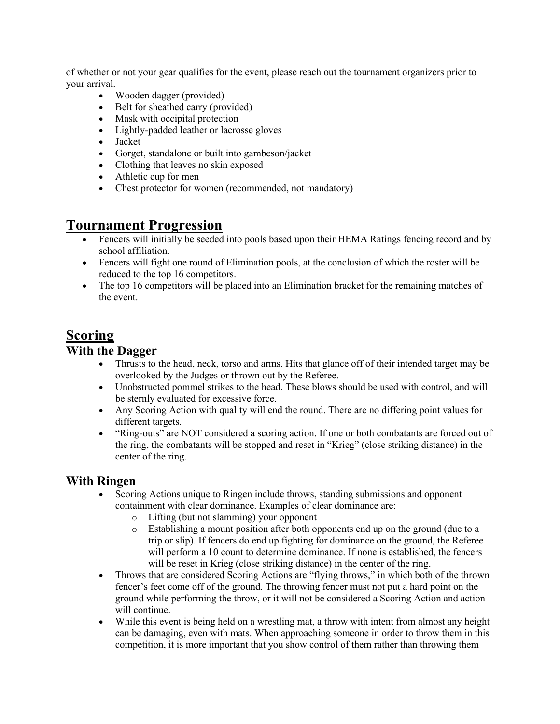of whether or not your gear qualifies for the event, please reach out the tournament organizers prior to your arrival.

- Wooden dagger (provided)
- Belt for sheathed carry (provided)
- Mask with occipital protection
- Lightly-padded leather or lacrosse gloves
- Jacket
- Gorget, standalone or built into gambeson/jacket
- Clothing that leaves no skin exposed
- Athletic cup for men
- Chest protector for women (recommended, not mandatory)

#### **Tournament Progression**

- Fencers will initially be seeded into pools based upon their HEMA Ratings fencing record and by school affiliation.
- Fencers will fight one round of Elimination pools, at the conclusion of which the roster will be reduced to the top 16 competitors.
- The top 16 competitors will be placed into an Elimination bracket for the remaining matches of the event.

#### **Scoring**

#### **With the Dagger**

- Thrusts to the head, neck, torso and arms. Hits that glance off of their intended target may be overlooked by the Judges or thrown out by the Referee.
- Unobstructed pommel strikes to the head. These blows should be used with control, and will be sternly evaluated for excessive force.
- Any Scoring Action with quality will end the round. There are no differing point values for different targets.
- "Ring-outs" are NOT considered a scoring action. If one or both combatants are forced out of the ring, the combatants will be stopped and reset in "Krieg" (close striking distance) in the center of the ring.

#### **With Ringen**

- Scoring Actions unique to Ringen include throws, standing submissions and opponent containment with clear dominance. Examples of clear dominance are:
	- o Lifting (but not slamming) your opponent
	- o Establishing a mount position after both opponents end up on the ground (due to a trip or slip). If fencers do end up fighting for dominance on the ground, the Referee will perform a 10 count to determine dominance. If none is established, the fencers will be reset in Krieg (close striking distance) in the center of the ring.
- Throws that are considered Scoring Actions are "flying throws," in which both of the thrown fencer's feet come off of the ground. The throwing fencer must not put a hard point on the ground while performing the throw, or it will not be considered a Scoring Action and action will continue.
- While this event is being held on a wrestling mat, a throw with intent from almost any height can be damaging, even with mats. When approaching someone in order to throw them in this competition, it is more important that you show control of them rather than throwing them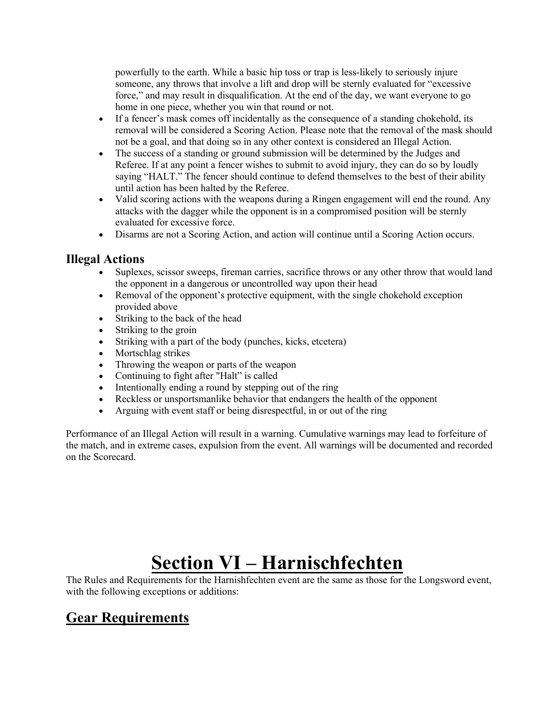powerfully to the earth. While a basic hip toss or trap is less-likely to seriously injure someone, any throws that involve a lift and drop will be sternly evaluated for "excessive force," and may result in disqualification. At the end of the day, we want everyone to go home in one piece, whether you win that round or not.

- If a fencer's mask comes off incidentally as the consequence of a standing chokehold, its removal will be considered a Scoring Action. Please note that the removal of the mask should not be a goal, and that doing so in any other context is considered an Illegal Action.
- The success of a standing or ground submission will be determined by the Judges and Referee. If at any point a fencer wishes to submit to avoid injury, they can do so by loudly saying "HALT." The fencer should continue to defend themselves to the best of their ability until action has been halted by the Referee.
- Valid scoring actions with the weapons during a Ringen engagement will end the round. Any attacks with the dagger while the opponent is in a compromised position will be sternly evaluated for excessive force.
- Disarms are not a Scoring Action, and action will continue until a Scoring Action occurs.

#### **Illegal Actions**

- Suplexes, scissor sweeps, fireman carries, sacrifice throws or any other throw that would land the opponent in a dangerous or uncontrolled way upon their head
- Removal of the opponent's protective equipment, with the single chokehold exception provided above
- Striking to the back of the head
- Striking to the groin
- Striking with a part of the body (punches, kicks, etcetera)
- Mortschlag strikes
- Throwing the weapon or parts of the weapon
- Continuing to fight after "Halt" is called
- Intentionally ending a round by stepping out of the ring
- Reckless or unsportsmanlike behavior that endangers the health of the opponent
- Arguing with event staff or being disrespectful, in or out of the ring

Performance of an Illegal Action will result in a warning. Cumulative warnings may lead to forfeiture of the match, and in extreme cases, expulsion from the event. All warnings will be documented and recorded on the Scorecard.

## **Section VI – Harnischfechten**

The Rules and Requirements for the Harnishfechten event are the same as those for the Longsword event, with the following exceptions or additions:

## **Gear Requirements**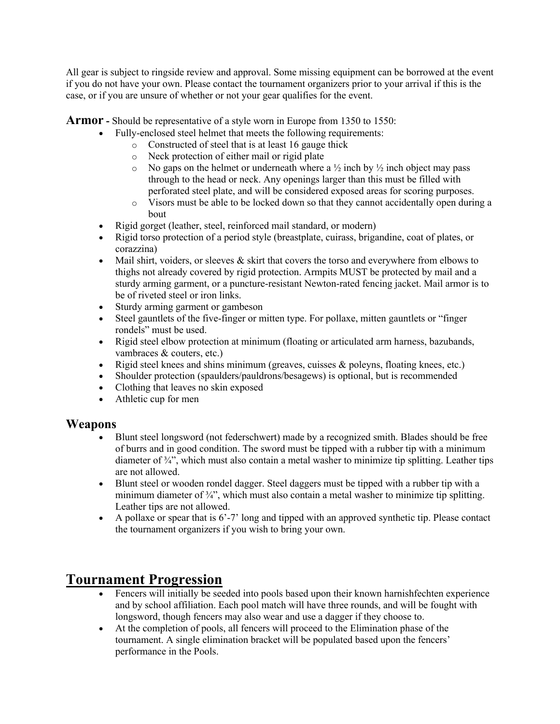All gear is subject to ringside review and approval. Some missing equipment can be borrowed at the event if you do not have your own. Please contact the tournament organizers prior to your arrival if this is the case, or if you are unsure of whether or not your gear qualifies for the event.

**Armor -** Should be representative of a style worn in Europe from 1350 to 1550:

- Fully-enclosed steel helmet that meets the following requirements:
	- o Constructed of steel that is at least 16 gauge thick
		- o Neck protection of either mail or rigid plate
		- $\circ$  No gaps on the helmet or underneath where a  $\frac{1}{2}$  inch by  $\frac{1}{2}$  inch object may pass through to the head or neck. Any openings larger than this must be filled with perforated steel plate, and will be considered exposed areas for scoring purposes.
	- $\circ$  Visors must be able to be locked down so that they cannot accidentally open during a bout
- Rigid gorget (leather, steel, reinforced mail standard, or modern)
- Rigid torso protection of a period style (breastplate, cuirass, brigandine, coat of plates, or corazzina)
- Mail shirt, voiders, or sleeves  $\&$  skirt that covers the torso and everywhere from elbows to thighs not already covered by rigid protection. Armpits MUST be protected by mail and a sturdy arming garment, or a puncture-resistant Newton-rated fencing jacket. Mail armor is to be of riveted steel or iron links.
- Sturdy arming garment or gambeson
- Steel gauntlets of the five-finger or mitten type. For pollaxe, mitten gauntlets or "finger" rondels" must be used.
- Rigid steel elbow protection at minimum (floating or articulated arm harness, bazubands, vambraces & couters, etc.)
- Rigid steel knees and shins minimum (greaves, cuisses & poleyns, floating knees, etc.)
- Shoulder protection (spaulders/pauldrons/besagews) is optional, but is recommended
- Clothing that leaves no skin exposed
- Athletic cup for men

#### **Weapons**

- Blunt steel longsword (not federschwert) made by a recognized smith. Blades should be free of burrs and in good condition. The sword must be tipped with a rubber tip with a minimum diameter of  $\frac{3}{4}$ , which must also contain a metal washer to minimize tip splitting. Leather tips are not allowed.
- Blunt steel or wooden rondel dagger. Steel daggers must be tipped with a rubber tip with a minimum diameter of  $\frac{3}{4}$ , which must also contain a metal washer to minimize tip splitting. Leather tips are not allowed.
- A pollaxe or spear that is 6'-7' long and tipped with an approved synthetic tip. Please contact the tournament organizers if you wish to bring your own.

#### **Tournament Progression**

- Fencers will initially be seeded into pools based upon their known harnishfechten experience and by school affiliation. Each pool match will have three rounds, and will be fought with longsword, though fencers may also wear and use a dagger if they choose to.
- At the completion of pools, all fencers will proceed to the Elimination phase of the tournament. A single elimination bracket will be populated based upon the fencers' performance in the Pools.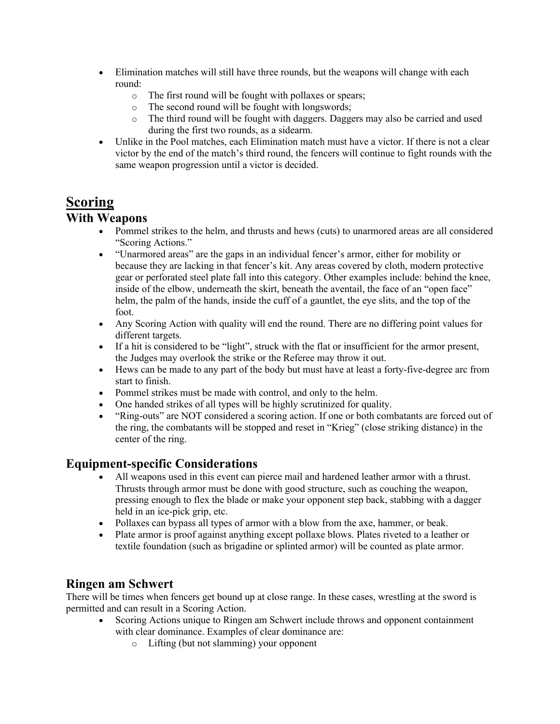- Elimination matches will still have three rounds, but the weapons will change with each round:
	- o The first round will be fought with pollaxes or spears;
	- o The second round will be fought with longswords;
	- o The third round will be fought with daggers. Daggers may also be carried and used during the first two rounds, as a sidearm.
- Unlike in the Pool matches, each Elimination match must have a victor. If there is not a clear victor by the end of the match's third round, the fencers will continue to fight rounds with the same weapon progression until a victor is decided.

## **Scoring**

#### **With Weapons**

- Pommel strikes to the helm, and thrusts and hews (cuts) to unarmored areas are all considered "Scoring Actions."
- "Unarmored areas" are the gaps in an individual fencer's armor, either for mobility or because they are lacking in that fencer's kit. Any areas covered by cloth, modern protective gear or perforated steel plate fall into this category. Other examples include: behind the knee, inside of the elbow, underneath the skirt, beneath the aventail, the face of an "open face" helm, the palm of the hands, inside the cuff of a gauntlet, the eye slits, and the top of the foot.
- Any Scoring Action with quality will end the round. There are no differing point values for different targets.
- If a hit is considered to be "light", struck with the flat or insufficient for the armor present, the Judges may overlook the strike or the Referee may throw it out.
- Hews can be made to any part of the body but must have at least a forty-five-degree arc from start to finish.
- Pommel strikes must be made with control, and only to the helm.
- One handed strikes of all types will be highly scrutinized for quality.
- "Ring-outs" are NOT considered a scoring action. If one or both combatants are forced out of the ring, the combatants will be stopped and reset in "Krieg" (close striking distance) in the center of the ring.

#### **Equipment-specific Considerations**

- All weapons used in this event can pierce mail and hardened leather armor with a thrust. Thrusts through armor must be done with good structure, such as couching the weapon, pressing enough to flex the blade or make your opponent step back, stabbing with a dagger held in an ice-pick grip, etc.
- Pollaxes can bypass all types of armor with a blow from the axe, hammer, or beak.
- Plate armor is proof against anything except pollaxe blows. Plates riveted to a leather or textile foundation (such as brigadine or splinted armor) will be counted as plate armor.

#### **Ringen am Schwert**

There will be times when fencers get bound up at close range. In these cases, wrestling at the sword is permitted and can result in a Scoring Action.

- Scoring Actions unique to Ringen am Schwert include throws and opponent containment with clear dominance. Examples of clear dominance are:
	- o Lifting (but not slamming) your opponent